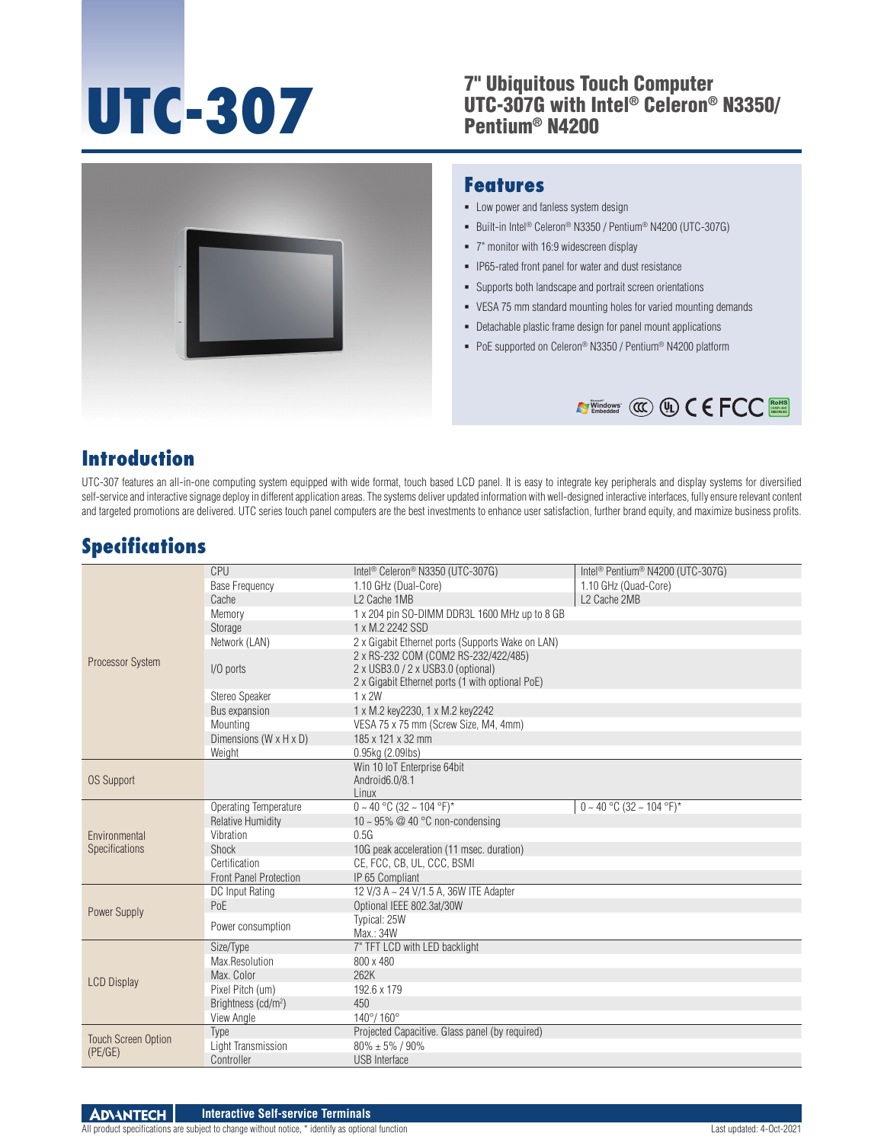### **UTC-307** <sup>7"</sup> Ubiquitous Touch Computer<br>
UTC-3076 with Intel® Celeron®<br>
Pentium® N4200 UTC-307G with Intel® Celeron® N3350/ Pentium® N4200



#### **Features**

- **-** Low power and fanless system design
- Built-in Intel® Celeron® N3350 / Pentium® N4200 (UTC-307G)
- 7" monitor with 16:9 widescreen display
- **-** IP65-rated front panel for water and dust resistance
- Supports both landscape and portrait screen orientations
- VESA 75 mm standard mounting holes for varied mounting demands
- Detachable plastic frame design for panel mount applications
- PoE supported on Celeron<sup>®</sup> N3350 / Pentium<sup>®</sup> N4200 platform



## **Introduction**

UTC-307 features an all-in-one computing system equipped with wide format, touch based LCD panel. It is easy to integrate key peripherals and display systems for diversified self-service and interactive signage deploy in different application areas. The systems deliver updated information with well-designed interactive interfaces, fully ensure relevant content and targeted promotions are delivered. UTC series touch panel computers are the best investments to enhance user satisfaction, further brand equity, and maximize business profits.

# **Specifications**

|                                       | CPU                             | Intel <sup>®</sup> Celeron <sup>®</sup> N3350 (UTC-307G)                                                                       | Intel <sup>®</sup> Pentium <sup>®</sup> N4200 (UTC-307G) |
|---------------------------------------|---------------------------------|--------------------------------------------------------------------------------------------------------------------------------|----------------------------------------------------------|
| Processor System                      | <b>Base Frequency</b>           | 1.10 GHz (Dual-Core)                                                                                                           | 1.10 GHz (Quad-Core)                                     |
|                                       | Cache                           | L <sub>2</sub> Cache 1MB                                                                                                       | L2 Cache 2MB                                             |
|                                       | Memory                          | 1 x 204 pin SO-DIMM DDR3L 1600 MHz up to 8 GB                                                                                  |                                                          |
|                                       | Storage                         | 1 x M.2 2242 SSD                                                                                                               |                                                          |
|                                       | Network (LAN)                   | 2 x Gigabit Ethernet ports (Supports Wake on LAN)                                                                              |                                                          |
|                                       | I/O ports                       | 2 x RS-232 COM (COM2 RS-232/422/485)<br>2 x USB3.0 / 2 x USB3.0 (optional)<br>2 x Gigabit Ethernet ports (1 with optional PoE) |                                                          |
|                                       | Stereo Speaker                  | $1 \times 2W$                                                                                                                  |                                                          |
|                                       | Bus expansion                   | 1 x M.2 key2230, 1 x M.2 key2242                                                                                               |                                                          |
|                                       | Mounting                        | VESA 75 x 75 mm (Screw Size, M4, 4mm)                                                                                          |                                                          |
|                                       | Dimensions (W x H x D)          | 185 x 121 x 32 mm                                                                                                              |                                                          |
|                                       | Weight                          | 0.95kg (2.09lbs)                                                                                                               |                                                          |
| <b>OS Support</b>                     |                                 | Win 10 IoT Enterprise 64bit                                                                                                    |                                                          |
|                                       |                                 | Android6.0/8.1                                                                                                                 |                                                          |
|                                       |                                 | Linux                                                                                                                          |                                                          |
| Environmental                         | Operating Temperature           | $0 \sim 40$ °C (32 ~ 104 °F)*                                                                                                  | $0 \sim 40$ °C (32 ~ 104 °F)*                            |
|                                       | <b>Relative Humidity</b>        | 10 ~ 95% @ 40 °C non-condensing                                                                                                |                                                          |
|                                       | Vibration                       | 0.5G                                                                                                                           |                                                          |
| Specifications                        | Shock                           | 10G peak acceleration (11 msec. duration)                                                                                      |                                                          |
|                                       | Certification                   | CE, FCC, CB, UL, CCC, BSMI                                                                                                     |                                                          |
|                                       | <b>Front Panel Protection</b>   | IP 65 Compliant                                                                                                                |                                                          |
|                                       | DC Input Rating                 | 12 V/3 A ~ 24 V/1.5 A, 36W ITE Adapter                                                                                         |                                                          |
| Power Supply                          | PoE                             | Optional IEEE 802.3at/30W                                                                                                      |                                                          |
|                                       | Power consumption               | Typical: 25W<br>Max.: 34W                                                                                                      |                                                          |
| <b>LCD Display</b>                    | Size/Type                       | 7" TFT LCD with LED backlight                                                                                                  |                                                          |
|                                       | Max.Resolution                  | 800 x 480                                                                                                                      |                                                          |
|                                       | Max. Color                      | 262K                                                                                                                           |                                                          |
|                                       | Pixel Pitch (um)                | 192.6 x 179                                                                                                                    |                                                          |
|                                       | Brightness (cd/m <sup>2</sup> ) | 450                                                                                                                            |                                                          |
|                                       | View Angle                      | $140^{\circ}/ 160^{\circ}$                                                                                                     |                                                          |
| <b>Touch Screen Option</b><br>(PE/GE) | Type                            | Projected Capacitive. Glass panel (by required)                                                                                |                                                          |
|                                       | Light Transmission              | $80\% \pm 5\%$ / 90%                                                                                                           |                                                          |
|                                       | Controller                      | <b>USB</b> Interface                                                                                                           |                                                          |